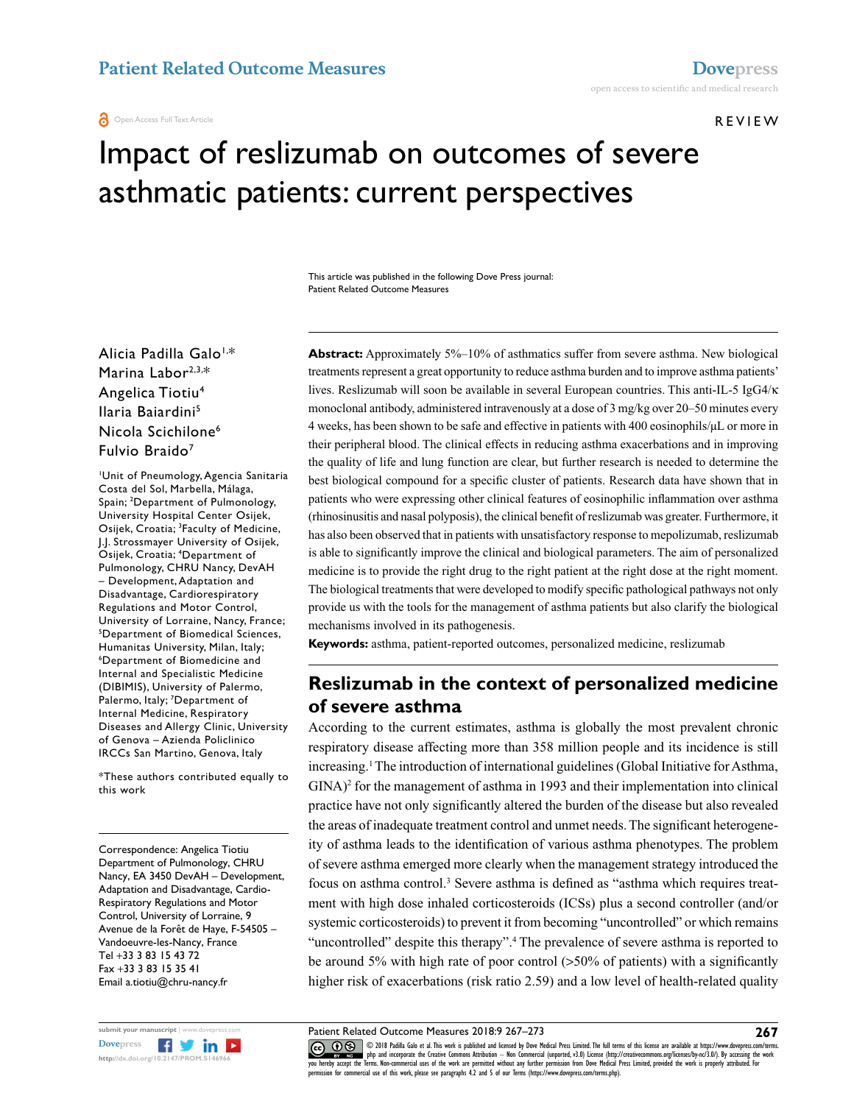#### **O** Open Access Full Text Article

#### Review

# Impact of reslizumab on outcomes of severe asthmatic patients: current perspectives

This article was published in the following Dove Press journal: Patient Related Outcome Measures

Alicia Padilla Galo<sup>1,\*</sup> Marina Labor<sup>2,3,\*</sup> Angelica Tiotiu4 Ilaria Baiardini5 Nicola Scichilone6 Fulvio Braido7

1 Unit of Pneumology, Agencia Sanitaria Costa del Sol, Marbella, Málaga, Spain; 2 Department of Pulmonology, University Hospital Center Osijek, Osijek, Croatia; 3 Faculty of Medicine, J.J. Strossmayer University of Osijek, Osijek, Croatia; 4 Department of Pulmonology, CHRU Nancy, DevAH – Development, Adaptation and Disadvantage, Cardiorespiratory Regulations and Motor Control, University of Lorraine, Nancy, France; 5 Department of Biomedical Sciences, Humanitas University, Milan, Italy; 6 Department of Biomedicine and Internal and Specialistic Medicine (DIBIMIS), University of Palermo, Palermo, Italy; 7Department of Internal Medicine, Respiratory Diseases and Allergy Clinic, University of Genova – Azienda Policlinico IRCCs San Martino, Genova, Italy

\*These authors contributed equally to this work

Correspondence: Angelica Tiotiu Department of Pulmonology, CHRU Nancy, EA 3450 DevAH – Development, Adaptation and Disadvantage, Cardio-Respiratory Regulations and Motor Control, University of Lorraine, 9 Avenue de la Forêt de Haye, F-54505 – Vandoeuvre-les-Nancy, France Tel +33 3 83 15 43 72 Fax +33 3 83 15 35 41 Email a.tiotiu@chru-nancy.fr



**Abstract:** Approximately 5%–10% of asthmatics suffer from severe asthma. New biological treatments represent a great opportunity to reduce asthma burden and to improve asthma patients' lives. Reslizumab will soon be available in several European countries. This anti-IL-5 IgG4/κ monoclonal antibody, administered intravenously at a dose of 3 mg/kg over 20–50 minutes every 4 weeks, has been shown to be safe and effective in patients with 400 eosinophils/μL or more in their peripheral blood. The clinical effects in reducing asthma exacerbations and in improving the quality of life and lung function are clear, but further research is needed to determine the best biological compound for a specific cluster of patients. Research data have shown that in patients who were expressing other clinical features of eosinophilic inflammation over asthma (rhinosinusitis and nasal polyposis), the clinical benefit of reslizumab was greater. Furthermore, it has also been observed that in patients with unsatisfactory response to mepolizumab, reslizumab is able to significantly improve the clinical and biological parameters. The aim of personalized medicine is to provide the right drug to the right patient at the right dose at the right moment. The biological treatments that were developed to modify specific pathological pathways not only provide us with the tools for the management of asthma patients but also clarify the biological mechanisms involved in its pathogenesis.

**Keywords:** asthma, patient-reported outcomes, personalized medicine, reslizumab

## **Reslizumab in the context of personalized medicine of severe asthma**

According to the current estimates, asthma is globally the most prevalent chronic respiratory disease affecting more than 358 million people and its incidence is still increasing.<sup>1</sup> The introduction of international guidelines (Global Initiative for Asthma, GINA)<sup>2</sup> for the management of asthma in 1993 and their implementation into clinical practice have not only significantly altered the burden of the disease but also revealed the areas of inadequate treatment control and unmet needs. The significant heterogeneity of asthma leads to the identification of various asthma phenotypes. The problem of severe asthma emerged more clearly when the management strategy introduced the focus on asthma control.<sup>3</sup> Severe asthma is defined as "asthma which requires treatment with high dose inhaled corticosteroids (ICSs) plus a second controller (and/or systemic corticosteroids) to prevent it from becoming "uncontrolled" or which remains "uncontrolled" despite this therapy".<sup>4</sup> The prevalence of severe asthma is reported to be around 5% with high rate of poor control (>50% of patients) with a significantly higher risk of exacerbations (risk ratio 2.59) and a low level of health-related quality

Patient Related Outcome Measures 2018:9 267–273

**267**

CCO CO 3018 Padilla Galo et al. This work is published and licensed by Dove Medical Press Limited. The full terms of this license are available at https://www.dovepress.com/terms. www.com php and incorporate the Creative Commons Attribution — Non Commercial (unported, v3.0) License (http://creativecommons.org/licenses/by-nc/3.0/). By accessing the work<br>[you hereby accept the T](http://www.dovepress.com/permissions.php)erms. Non-commercial use permission for commercial use of this work, please see paragraphs 4.2 and 5 of our Terms (https://www.dovepress.com/terms.php).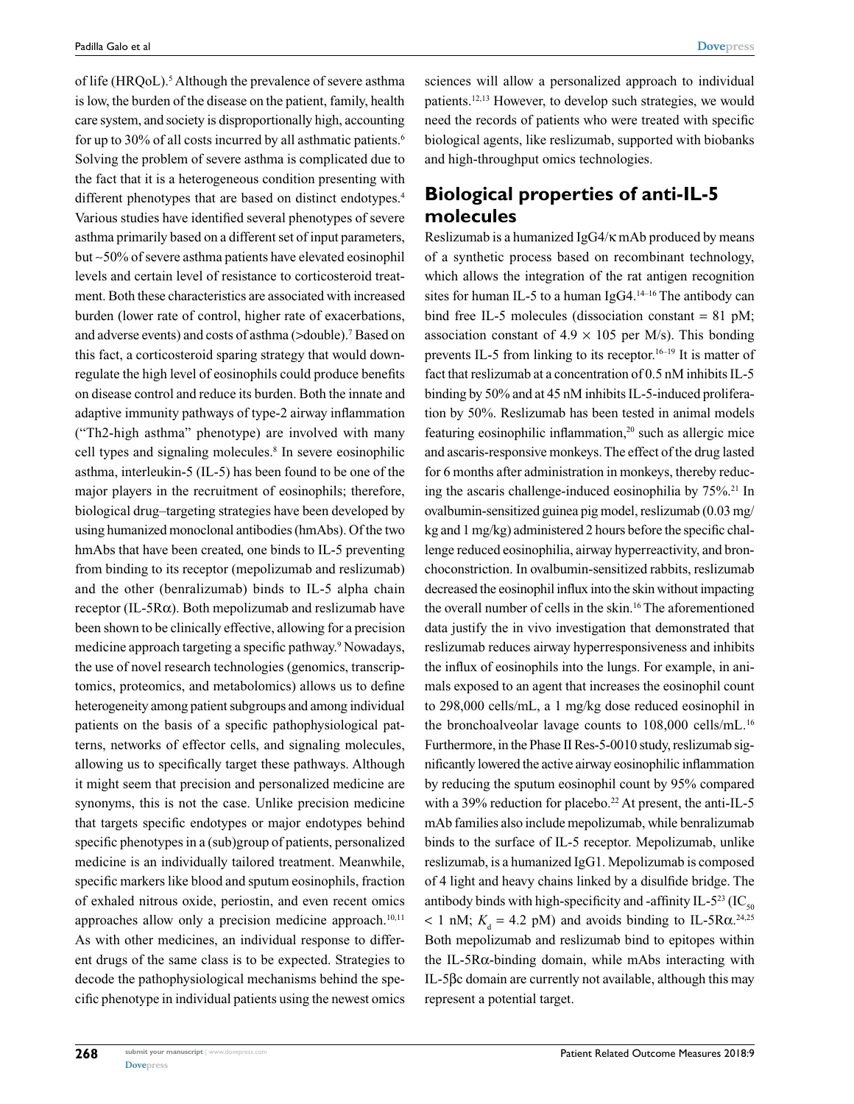of life (HRQoL).<sup>5</sup> Although the prevalence of severe asthma is low, the burden of the disease on the patient, family, health care system, and society is disproportionally high, accounting for up to 30% of all costs incurred by all asthmatic patients.6 Solving the problem of severe asthma is complicated due to the fact that it is a heterogeneous condition presenting with different phenotypes that are based on distinct endotypes.<sup>4</sup> Various studies have identified several phenotypes of severe asthma primarily based on a different set of input parameters, but ~50% of severe asthma patients have elevated eosinophil levels and certain level of resistance to corticosteroid treatment. Both these characteristics are associated with increased burden (lower rate of control, higher rate of exacerbations, and adverse events) and costs of asthma (>double).7 Based on this fact, a corticosteroid sparing strategy that would downregulate the high level of eosinophils could produce benefits on disease control and reduce its burden. Both the innate and adaptive immunity pathways of type-2 airway inflammation ("Th2-high asthma" phenotype) are involved with many cell types and signaling molecules.<sup>8</sup> In severe eosinophilic asthma, interleukin-5 (IL-5) has been found to be one of the major players in the recruitment of eosinophils; therefore, biological drug–targeting strategies have been developed by using humanized monoclonal antibodies (hmAbs). Of the two hmAbs that have been created, one binds to IL-5 preventing from binding to its receptor (mepolizumab and reslizumab) and the other (benralizumab) binds to IL-5 alpha chain  $receptor$  (IL-5R $\alpha$ ). Both mepolizumab and reslizumab have been shown to be clinically effective, allowing for a precision medicine approach targeting a specific pathway.<sup>9</sup> Nowadays, the use of novel research technologies (genomics, transcriptomics, proteomics, and metabolomics) allows us to define heterogeneity among patient subgroups and among individual patients on the basis of a specific pathophysiological patterns, networks of effector cells, and signaling molecules, allowing us to specifically target these pathways. Although it might seem that precision and personalized medicine are synonyms, this is not the case. Unlike precision medicine that targets specific endotypes or major endotypes behind specific phenotypes in a (sub)group of patients, personalized medicine is an individually tailored treatment. Meanwhile, specific markers like blood and sputum eosinophils, fraction of exhaled nitrous oxide, periostin, and even recent omics approaches allow only a precision medicine approach.<sup>10,11</sup> As with other medicines, an individual response to different drugs of the same class is to be expected. Strategies to decode the pathophysiological mechanisms behind the specific phenotype in individual patients using the newest omics

sciences will allow a personalized approach to individual patients.12,13 However, to develop such strategies, we would need the records of patients who were treated with specific biological agents, like reslizumab, supported with biobanks and high-throughput omics technologies.

# **Biological properties of anti-IL-5 molecules**

Reslizumab is a humanized IgG4/κ mAb produced by means of a synthetic process based on recombinant technology, which allows the integration of the rat antigen recognition sites for human IL-5 to a human IgG4.<sup>14-16</sup> The antibody can bind free IL-5 molecules (dissociation constant = 81 pM; association constant of  $4.9 \times 105$  per M/s). This bonding prevents IL-5 from linking to its receptor.<sup>16–19</sup> It is matter of fact that reslizumab at a concentration of 0.5 nM inhibits IL-5 binding by 50% and at 45 nM inhibits IL-5-induced proliferation by 50%. Reslizumab has been tested in animal models featuring eosinophilic inflammation, $2<sup>0</sup>$  such as allergic mice and ascaris-responsive monkeys. The effect of the drug lasted for 6 months after administration in monkeys, thereby reducing the ascaris challenge-induced eosinophilia by 75%.<sup>21</sup> In ovalbumin-sensitized guinea pig model, reslizumab (0.03 mg/ kg and 1 mg/kg) administered 2 hours before the specific challenge reduced eosinophilia, airway hyperreactivity, and bronchoconstriction. In ovalbumin-sensitized rabbits, reslizumab decreased the eosinophil influx into the skin without impacting the overall number of cells in the skin.16 The aforementioned data justify the in vivo investigation that demonstrated that reslizumab reduces airway hyperresponsiveness and inhibits the influx of eosinophils into the lungs. For example, in animals exposed to an agent that increases the eosinophil count to 298,000 cells/mL, a 1 mg/kg dose reduced eosinophil in the bronchoalveolar lavage counts to 108,000 cells/mL.<sup>16</sup> Furthermore, in the Phase II Res-5-0010 study, reslizumab significantly lowered the active airway eosinophilic inflammation by reducing the sputum eosinophil count by 95% compared with a 39% reduction for placebo.<sup>22</sup> At present, the anti-IL-5 mAb families also include mepolizumab, while benralizumab binds to the surface of IL-5 receptor. Mepolizumab, unlike reslizumab, is a humanized IgG1. Mepolizumab is composed of 4 light and heavy chains linked by a disulfide bridge. The antibody binds with high-specificity and -affinity IL- $5^{23}$  (IC<sub>50</sub>)  $< 1$  nM;  $K_d = 4.2$  pM) and avoids binding to IL-5R $\alpha$ <sup>24,25</sup> Both mepolizumab and reslizumab bind to epitopes within the IL-5R $\alpha$ -binding domain, while mAbs interacting with IL-5βc domain are currently not available, although this may represent a potential target.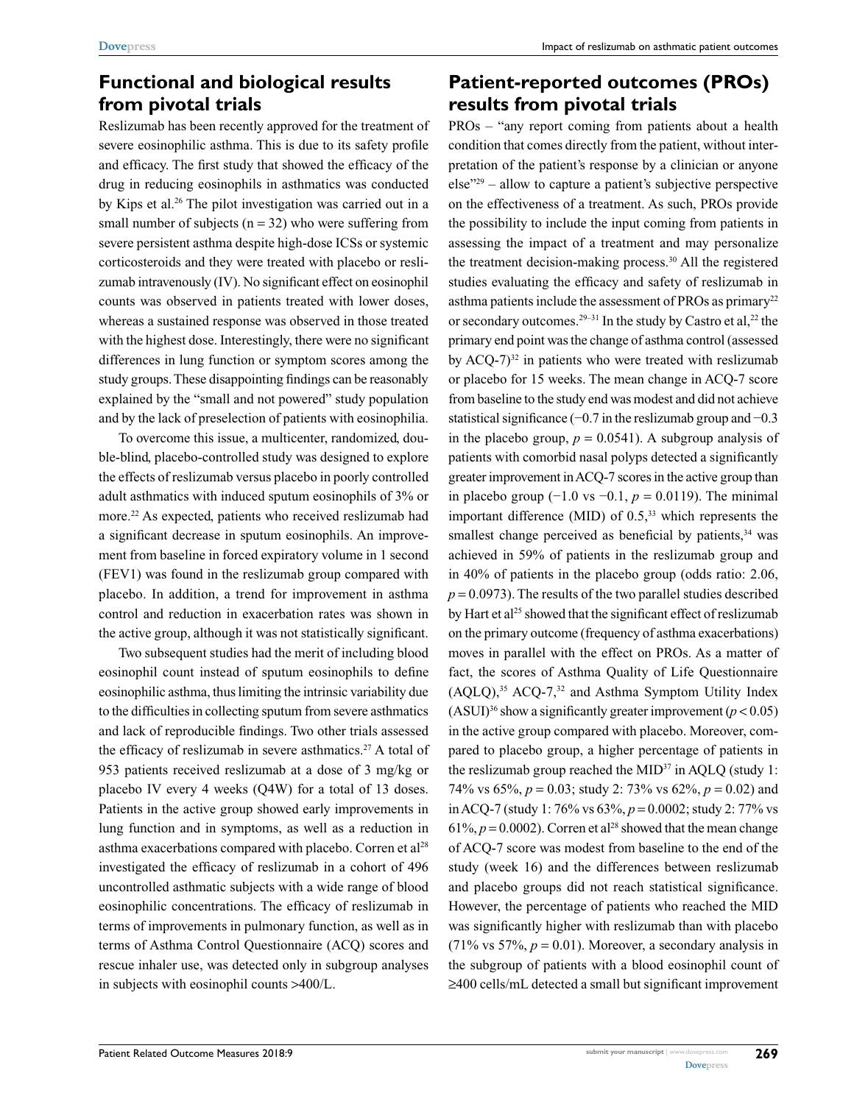## **Functional and biological results from pivotal trials**

Reslizumab has been recently approved for the treatment of severe eosinophilic asthma. This is due to its safety profile and efficacy. The first study that showed the efficacy of the drug in reducing eosinophils in asthmatics was conducted by Kips et al.<sup>26</sup> The pilot investigation was carried out in a small number of subjects ( $n = 32$ ) who were suffering from severe persistent asthma despite high-dose ICSs or systemic corticosteroids and they were treated with placebo or reslizumab intravenously (IV). No significant effect on eosinophil counts was observed in patients treated with lower doses, whereas a sustained response was observed in those treated with the highest dose. Interestingly, there were no significant differences in lung function or symptom scores among the study groups. These disappointing findings can be reasonably explained by the "small and not powered" study population and by the lack of preselection of patients with eosinophilia.

To overcome this issue, a multicenter, randomized, double-blind, placebo-controlled study was designed to explore the effects of reslizumab versus placebo in poorly controlled adult asthmatics with induced sputum eosinophils of 3% or more.<sup>22</sup> As expected, patients who received reslizumab had a significant decrease in sputum eosinophils. An improvement from baseline in forced expiratory volume in 1 second (FEV1) was found in the reslizumab group compared with placebo. In addition, a trend for improvement in asthma control and reduction in exacerbation rates was shown in the active group, although it was not statistically significant.

Two subsequent studies had the merit of including blood eosinophil count instead of sputum eosinophils to define eosinophilic asthma, thus limiting the intrinsic variability due to the difficulties in collecting sputum from severe asthmatics and lack of reproducible findings. Two other trials assessed the efficacy of reslizumab in severe asthmatics.<sup>27</sup> A total of 953 patients received reslizumab at a dose of 3 mg/kg or placebo IV every 4 weeks (Q4W) for a total of 13 doses. Patients in the active group showed early improvements in lung function and in symptoms, as well as a reduction in asthma exacerbations compared with placebo. Corren et al<sup>28</sup> investigated the efficacy of reslizumab in a cohort of 496 uncontrolled asthmatic subjects with a wide range of blood eosinophilic concentrations. The efficacy of reslizumab in terms of improvements in pulmonary function, as well as in terms of Asthma Control Questionnaire (ACQ) scores and rescue inhaler use, was detected only in subgroup analyses in subjects with eosinophil counts >400/L.

## **Patient-reported outcomes (PROs) results from pivotal trials**

PROs – "any report coming from patients about a health condition that comes directly from the patient, without interpretation of the patient's response by a clinician or anyone else"29 – allow to capture a patient's subjective perspective on the effectiveness of a treatment. As such, PROs provide the possibility to include the input coming from patients in assessing the impact of a treatment and may personalize the treatment decision-making process.30 All the registered studies evaluating the efficacy and safety of reslizumab in asthma patients include the assessment of PROs as primary<sup>22</sup> or secondary outcomes.<sup>29–31</sup> In the study by Castro et al,<sup>22</sup> the primary end point was the change of asthma control (assessed by  $ACQ-7$ <sup>32</sup> in patients who were treated with reslizumab or placebo for 15 weeks. The mean change in ACQ-7 score from baseline to the study end was modest and did not achieve statistical significance (−0.7 in the reslizumab group and −0.3 in the placebo group,  $p = 0.0541$ ). A subgroup analysis of patients with comorbid nasal polyps detected a significantly greater improvement in ACQ-7 scores in the active group than in placebo group  $(-1.0 \text{ vs } -0.1, p = 0.0119)$ . The minimal important difference (MID) of  $0.5<sup>33</sup>$  which represents the smallest change perceived as beneficial by patients, $34$  was achieved in 59% of patients in the reslizumab group and in 40% of patients in the placebo group (odds ratio: 2.06,  $p = 0.0973$ ). The results of the two parallel studies described by Hart et al<sup>25</sup> showed that the significant effect of reslizumab on the primary outcome (frequency of asthma exacerbations) moves in parallel with the effect on PROs. As a matter of fact, the scores of Asthma Quality of Life Questionnaire  $(AQLQ)$ ,<sup>35</sup> ACQ-7,<sup>32</sup> and Asthma Symptom Utility Index  $(ASUI)<sup>36</sup>$  show a significantly greater improvement ( $p < 0.05$ ) in the active group compared with placebo. Moreover, compared to placebo group, a higher percentage of patients in the reslizumab group reached the MID37 in AQLQ (study 1: 74% vs 65%, *p* = 0.03; study 2: 73% vs 62%, *p* = 0.02) and in ACQ-7 (study 1: 76% vs 63%, *p* = 0.0002; study 2: 77% vs 61%,  $p = 0.0002$ ). Corren et al<sup>28</sup> showed that the mean change of ACQ-7 score was modest from baseline to the end of the study (week 16) and the differences between reslizumab and placebo groups did not reach statistical significance. However, the percentage of patients who reached the MID was significantly higher with reslizumab than with placebo  $(71\% \text{ vs } 57\%, p = 0.01)$ . Moreover, a secondary analysis in the subgroup of patients with a blood eosinophil count of ≥400 cells/mL detected a small but significant improvement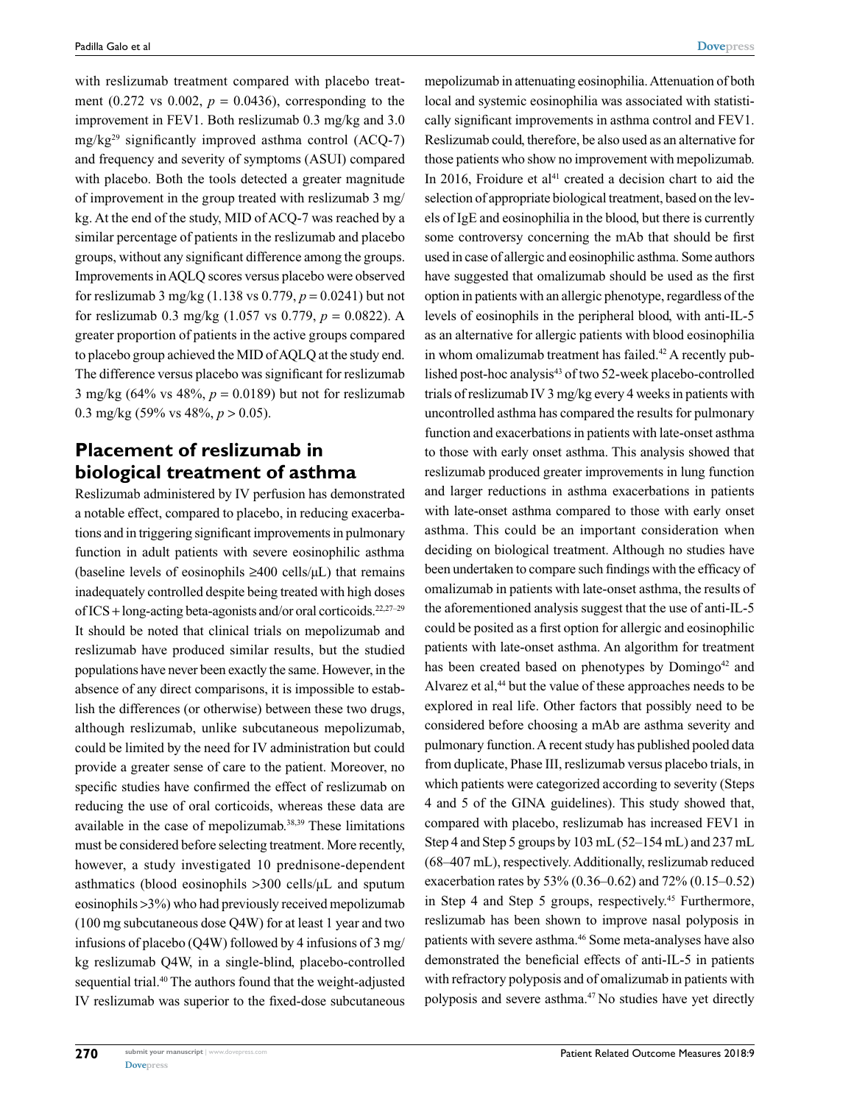with reslizumab treatment compared with placebo treatment (0.272 vs 0.002,  $p = 0.0436$ ), corresponding to the improvement in FEV1. Both reslizumab 0.3 mg/kg and 3.0  $mg/kg<sup>29</sup>$  significantly improved asthma control (ACO-7) and frequency and severity of symptoms (ASUI) compared with placebo. Both the tools detected a greater magnitude of improvement in the group treated with reslizumab 3 mg/ kg. At the end of the study, MID of ACQ-7 was reached by a similar percentage of patients in the reslizumab and placebo groups, without any significant difference among the groups. Improvements in AQLQ scores versus placebo were observed for reslizumab 3 mg/kg  $(1.138 \text{ vs } 0.779, p = 0.0241)$  but not for reslizumab 0.3 mg/kg (1.057 vs 0.779, *p* = 0.0822). A greater proportion of patients in the active groups compared to placebo group achieved the MID of AQLQ at the study end. The difference versus placebo was significant for reslizumab 3 mg/kg (64% vs 48%,  $p = 0.0189$ ) but not for reslizumab 0.3 mg/kg (59% vs 48%, *p* > 0.05).

# **Placement of reslizumab in biological treatment of asthma**

Reslizumab administered by IV perfusion has demonstrated a notable effect, compared to placebo, in reducing exacerbations and in triggering significant improvements in pulmonary function in adult patients with severe eosinophilic asthma (baseline levels of eosinophils  $\geq 400$  cells/ $\mu$ L) that remains inadequately controlled despite being treated with high doses of ICS + long-acting beta-agonists and/or oral corticoids.<sup>22,27-29</sup> It should be noted that clinical trials on mepolizumab and reslizumab have produced similar results, but the studied populations have never been exactly the same. However, in the absence of any direct comparisons, it is impossible to establish the differences (or otherwise) between these two drugs, although reslizumab, unlike subcutaneous mepolizumab, could be limited by the need for IV administration but could provide a greater sense of care to the patient. Moreover, no specific studies have confirmed the effect of reslizumab on reducing the use of oral corticoids, whereas these data are available in the case of mepolizumab.38,39 These limitations must be considered before selecting treatment. More recently, however, a study investigated 10 prednisone-dependent asthmatics (blood eosinophils >300 cells/μL and sputum eosinophils >3%) who had previously received mepolizumab (100 mg subcutaneous dose Q4W) for at least 1 year and two infusions of placebo (Q4W) followed by 4 infusions of 3 mg/ kg reslizumab Q4W, in a single-blind, placebo-controlled sequential trial.40 The authors found that the weight-adjusted IV reslizumab was superior to the fixed-dose subcutaneous mepolizumab in attenuating eosinophilia. Attenuation of both local and systemic eosinophilia was associated with statistically significant improvements in asthma control and FEV1. Reslizumab could, therefore, be also used as an alternative for those patients who show no improvement with mepolizumab. In 2016, Froidure et al<sup>41</sup> created a decision chart to aid the selection of appropriate biological treatment, based on the levels of IgE and eosinophilia in the blood, but there is currently some controversy concerning the mAb that should be first used in case of allergic and eosinophilic asthma. Some authors have suggested that omalizumab should be used as the first option in patients with an allergic phenotype, regardless of the levels of eosinophils in the peripheral blood, with anti-IL-5 as an alternative for allergic patients with blood eosinophilia in whom omalizumab treatment has failed.<sup>42</sup> A recently published post-hoc analysis<sup>43</sup> of two 52-week placebo-controlled trials of reslizumab IV 3 mg/kg every 4 weeks in patients with uncontrolled asthma has compared the results for pulmonary function and exacerbations in patients with late-onset asthma to those with early onset asthma. This analysis showed that reslizumab produced greater improvements in lung function and larger reductions in asthma exacerbations in patients with late-onset asthma compared to those with early onset asthma. This could be an important consideration when deciding on biological treatment. Although no studies have been undertaken to compare such findings with the efficacy of omalizumab in patients with late-onset asthma, the results of the aforementioned analysis suggest that the use of anti-IL-5 could be posited as a first option for allergic and eosinophilic patients with late-onset asthma. An algorithm for treatment has been created based on phenotypes by Domingo<sup>42</sup> and Alvarez et al,<sup>44</sup> but the value of these approaches needs to be explored in real life. Other factors that possibly need to be considered before choosing a mAb are asthma severity and pulmonary function. A recent study has published pooled data from duplicate, Phase III, reslizumab versus placebo trials, in which patients were categorized according to severity (Steps 4 and 5 of the GINA guidelines). This study showed that, compared with placebo, reslizumab has increased FEV1 in Step 4 and Step 5 groups by 103 mL (52–154 mL) and 237 mL (68–407 mL), respectively. Additionally, reslizumab reduced exacerbation rates by 53% (0.36–0.62) and 72% (0.15–0.52) in Step 4 and Step 5 groups, respectively.45 Furthermore, reslizumab has been shown to improve nasal polyposis in patients with severe asthma.46 Some meta-analyses have also demonstrated the beneficial effects of anti-IL-5 in patients with refractory polyposis and of omalizumab in patients with polyposis and severe asthma.47 No studies have yet directly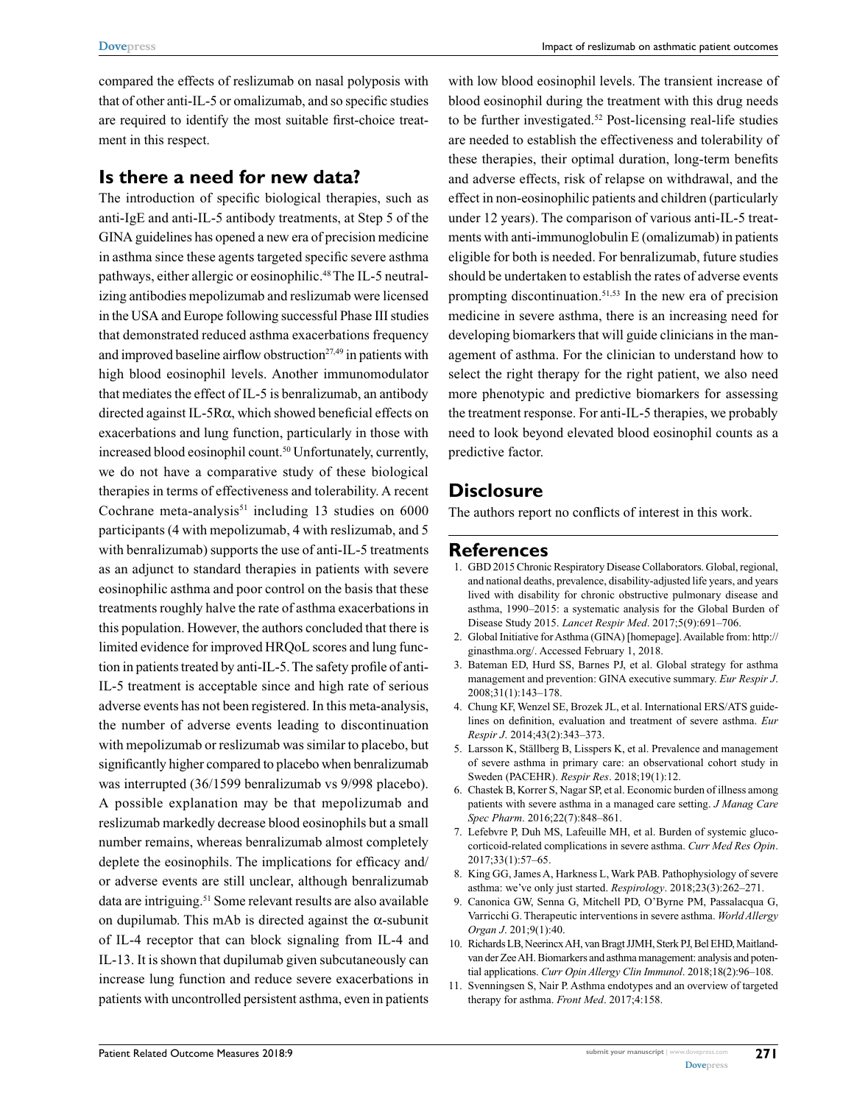compared the effects of reslizumab on nasal polyposis with that of other anti-IL-5 or omalizumab, and so specific studies are required to identify the most suitable first-choice treatment in this respect.

#### **Is there a need for new data?**

The introduction of specific biological therapies, such as anti-IgE and anti-IL-5 antibody treatments, at Step 5 of the GINA guidelines has opened a new era of precision medicine in asthma since these agents targeted specific severe asthma pathways, either allergic or eosinophilic.<sup>48</sup> The IL-5 neutralizing antibodies mepolizumab and reslizumab were licensed in the USA and Europe following successful Phase III studies that demonstrated reduced asthma exacerbations frequency and improved baseline airflow obstruction<sup>27,49</sup> in patients with high blood eosinophil levels. Another immunomodulator that mediates the effect of IL-5 is benralizumab, an antibody directed against IL-5Rα, which showed beneficial effects on exacerbations and lung function, particularly in those with increased blood eosinophil count.<sup>50</sup> Unfortunately, currently, we do not have a comparative study of these biological therapies in terms of effectiveness and tolerability. A recent Cochrane meta-analysis<sup>51</sup> including 13 studies on  $6000$ participants (4 with mepolizumab, 4 with reslizumab, and 5 with benralizumab) supports the use of anti-IL-5 treatments as an adjunct to standard therapies in patients with severe eosinophilic asthma and poor control on the basis that these treatments roughly halve the rate of asthma exacerbations in this population. However, the authors concluded that there is limited evidence for improved HRQoL scores and lung function in patients treated by anti-IL-5. The safety profile of anti-IL-5 treatment is acceptable since and high rate of serious adverse events has not been registered. In this meta-analysis, the number of adverse events leading to discontinuation with mepolizumab or reslizumab was similar to placebo, but significantly higher compared to placebo when benralizumab was interrupted (36/1599 benralizumab vs 9/998 placebo). A possible explanation may be that mepolizumab and reslizumab markedly decrease blood eosinophils but a small number remains, whereas benralizumab almost completely deplete the eosinophils. The implications for efficacy and/ or adverse events are still unclear, although benralizumab data are intriguing.<sup>51</sup> Some relevant results are also available on dupilumab. This mAb is directed against the  $\alpha$ -subunit of IL-4 receptor that can block signaling from IL-4 and IL-13. It is shown that dupilumab given subcutaneously can increase lung function and reduce severe exacerbations in patients with uncontrolled persistent asthma, even in patients

with low blood eosinophil levels. The transient increase of blood eosinophil during the treatment with this drug needs to be further investigated.<sup>52</sup> Post-licensing real-life studies are needed to establish the effectiveness and tolerability of these therapies, their optimal duration, long-term benefits and adverse effects, risk of relapse on withdrawal, and the effect in non-eosinophilic patients and children (particularly under 12 years). The comparison of various anti-IL-5 treatments with anti-immunoglobulin E (omalizumab) in patients eligible for both is needed. For benralizumab, future studies should be undertaken to establish the rates of adverse events prompting discontinuation.51,53 In the new era of precision medicine in severe asthma, there is an increasing need for developing biomarkers that will guide clinicians in the management of asthma. For the clinician to understand how to select the right therapy for the right patient, we also need more phenotypic and predictive biomarkers for assessing the treatment response. For anti-IL-5 therapies, we probably need to look beyond elevated blood eosinophil counts as a predictive factor.

### **Disclosure**

The authors report no conflicts of interest in this work.

#### **References**

- 1. GBD 2015 Chronic Respiratory Disease Collaborators. Global, regional, and national deaths, prevalence, disability-adjusted life years, and years lived with disability for chronic obstructive pulmonary disease and asthma, 1990–2015: a systematic analysis for the Global Burden of Disease Study 2015. *Lancet Respir Med*. 2017;5(9):691–706.
- 2. Global Initiative for Asthma (GINA) [homepage]. Available from: http:// ginasthma.org/. Accessed February 1, 2018.
- 3. Bateman ED, Hurd SS, Barnes PJ, et al. Global strategy for asthma management and prevention: GINA executive summary. *Eur Respir J*. 2008;31(1):143–178.
- 4. Chung KF, Wenzel SE, Brozek JL, et al. International ERS/ATS guidelines on definition, evaluation and treatment of severe asthma. *Eur Respir J*. 2014;43(2):343–373.
- 5. Larsson K, Ställberg B, Lisspers K, et al. Prevalence and management of severe asthma in primary care: an observational cohort study in Sweden (PACEHR). *Respir Res*. 2018;19(1):12.
- 6. Chastek B, Korrer S, Nagar SP, et al. Economic burden of illness among patients with severe asthma in a managed care setting. *J Manag Care Spec Pharm*. 2016;22(7):848–861.
- 7. Lefebvre P, Duh MS, Lafeuille MH, et al. Burden of systemic glucocorticoid-related complications in severe asthma. *Curr Med Res Opin*. 2017;33(1):57–65.
- 8. King GG, James A, Harkness L, Wark PAB. Pathophysiology of severe asthma: we've only just started. *Respirology*. 2018;23(3):262–271.
- 9. Canonica GW, Senna G, Mitchell PD, O'Byrne PM, Passalacqua G, Varricchi G. Therapeutic interventions in severe asthma. *World Allergy Organ J*. 201;9(1):40.
- 10. Richards LB, Neerincx AH, van Bragt JJMH, Sterk PJ, Bel EHD, Maitlandvan der Zee AH. Biomarkers and asthma management: analysis and potential applications. *Curr Opin Allergy Clin Immunol*. 2018;18(2):96–108.
- 11. Svenningsen S, Nair P. Asthma endotypes and an overview of targeted therapy for asthma. *Front Med*. 2017;4:158.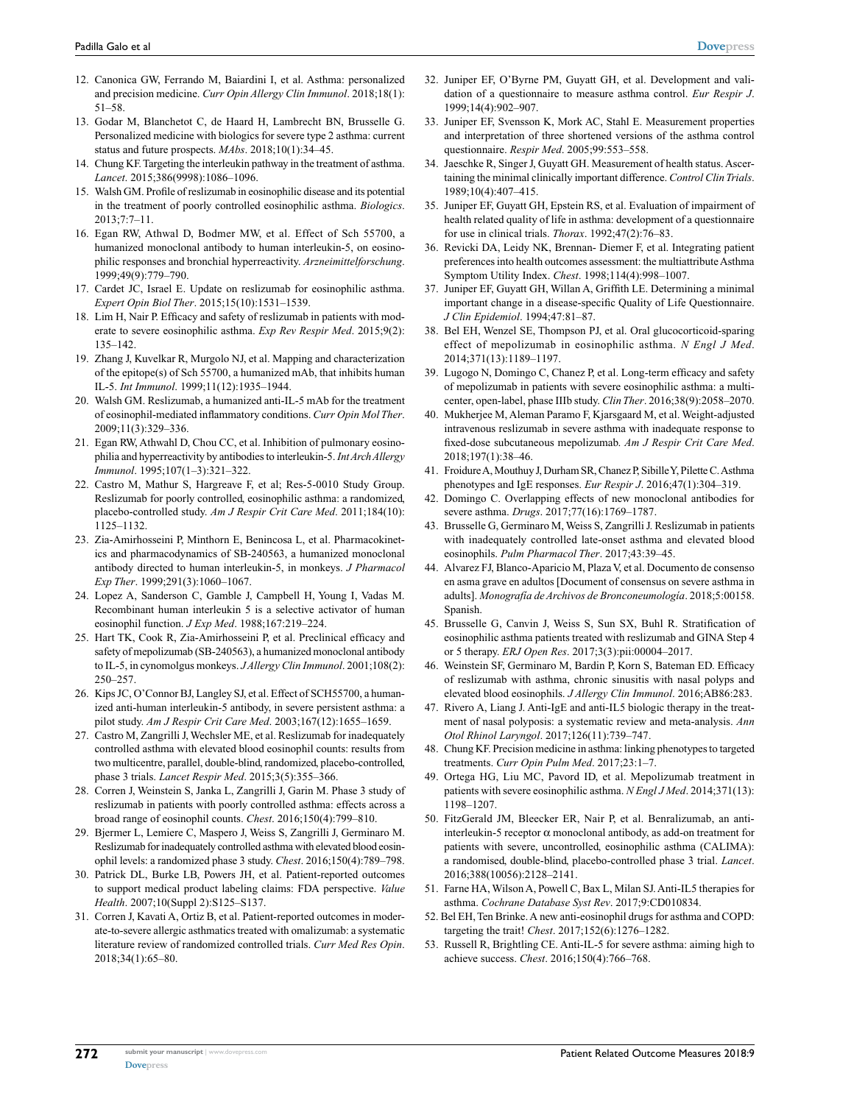- 12. Canonica GW, Ferrando M, Baiardini I, et al. Asthma: personalized and precision medicine. *Curr Opin Allergy Clin Immunol*. 2018;18(1): 51–58.
- 13. Godar M, Blanchetot C, de Haard H, Lambrecht BN, Brusselle G. Personalized medicine with biologics for severe type 2 asthma: current status and future prospects. *MAbs*. 2018;10(1):34–45.
- 14. Chung KF. Targeting the interleukin pathway in the treatment of asthma. *Lancet*. 2015;386(9998):1086–1096.
- 15. Walsh GM. Profile of reslizumab in eosinophilic disease and its potential in the treatment of poorly controlled eosinophilic asthma. *Biologics*. 2013;7:7–11.
- 16. Egan RW, Athwal D, Bodmer MW, et al. Effect of Sch 55700, a humanized monoclonal antibody to human interleukin-5, on eosinophilic responses and bronchial hyperreactivity. *Arzneimittelforschung*. 1999;49(9):779–790.
- 17. Cardet JC, Israel E. Update on reslizumab for eosinophilic asthma. *Expert Opin Biol Ther*. 2015;15(10):1531–1539.
- 18. Lim H, Nair P. Efficacy and safety of reslizumab in patients with moderate to severe eosinophilic asthma. *Exp Rev Respir Med*. 2015;9(2): 135–142.
- 19. Zhang J, Kuvelkar R, Murgolo NJ, et al. Mapping and characterization of the epitope(s) of Sch 55700, a humanized mAb, that inhibits human IL-5. *Int Immunol*. 1999;11(12):1935–1944.
- 20. Walsh GM. Reslizumab, a humanized anti-IL-5 mAb for the treatment of eosinophil-mediated inflammatory conditions. *Curr Opin Mol Ther*. 2009;11(3):329–336.
- 21. Egan RW, Athwahl D, Chou CC, et al. Inhibition of pulmonary eosinophilia and hyperreactivity by antibodies to interleukin-5. *Int Arch Allergy Immunol*. 1995;107(1–3):321–322.
- 22. Castro M, Mathur S, Hargreave F, et al; Res-5-0010 Study Group. Reslizumab for poorly controlled, eosinophilic asthma: a randomized, placebo-controlled study. *Am J Respir Crit Care Med*. 2011;184(10): 1125–1132.
- 23. Zia-Amirhosseini P, Minthorn E, Benincosa L, et al. Pharmacokinetics and pharmacodynamics of SB-240563, a humanized monoclonal antibody directed to human interleukin-5, in monkeys. *J Pharmacol Exp Ther*. 1999;291(3):1060–1067.
- 24. Lopez A, Sanderson C, Gamble J, Campbell H, Young I, Vadas M. Recombinant human interleukin 5 is a selective activator of human eosinophil function. *J Exp Med*. 1988;167:219–224.
- 25. Hart TK, Cook R, Zia-Amirhosseini P, et al. Preclinical efficacy and safety of mepolizumab (SB-240563), a humanized monoclonal antibody to IL-5, in cynomolgus monkeys. *J Allergy Clin Immunol*. 2001;108(2): 250–257.
- 26. Kips JC, O'Connor BJ, Langley SJ, et al. Effect of SCH55700, a humanized anti-human interleukin-5 antibody, in severe persistent asthma: a pilot study. *Am J Respir Crit Care Med*. 2003;167(12):1655–1659.
- 27. Castro M, Zangrilli J, Wechsler ME, et al. Reslizumab for inadequately controlled asthma with elevated blood eosinophil counts: results from two multicentre, parallel, double-blind, randomized, placebo-controlled, phase 3 trials. *Lancet Respir Med*. 2015;3(5):355–366.
- 28. Corren J, Weinstein S, Janka L, Zangrilli J, Garin M. Phase 3 study of reslizumab in patients with poorly controlled asthma: effects across a broad range of eosinophil counts. *Chest*. 2016;150(4):799–810.
- 29. Bjermer L, Lemiere C, Maspero J, Weiss S, Zangrilli J, Germinaro M. Reslizumab for inadequately controlled asthma with elevated blood eosinophil levels: a randomized phase 3 study. *Chest*. 2016;150(4):789–798.
- 30. Patrick DL, Burke LB, Powers JH, et al. Patient-reported outcomes to support medical product labeling claims: FDA perspective. *Value Health*. 2007;10(Suppl 2):S125–S137.
- 31. Corren J, Kavati A, Ortiz B, et al. Patient-reported outcomes in moderate-to-severe allergic asthmatics treated with omalizumab: a systematic literature review of randomized controlled trials. *Curr Med Res Opin*. 2018;34(1):65–80.
- 32. Juniper EF, O'Byrne PM, Guyatt GH, et al. Development and validation of a questionnaire to measure asthma control. *Eur Respir J*. 1999;14(4):902–907.
- 33. Juniper EF, Svensson K, Mork AC, Stahl E. Measurement properties and interpretation of three shortened versions of the asthma control questionnaire. *Respir Med*. 2005;99:553–558.
- 34. Jaeschke R, Singer J, Guyatt GH. Measurement of health status. Ascertaining the minimal clinically important difference. *Control Clin Trials*. 1989;10(4):407–415.
- 35. Juniper EF, Guyatt GH, Epstein RS, et al. Evaluation of impairment of health related quality of life in asthma: development of a questionnaire for use in clinical trials. *Thorax*. 1992;47(2):76–83.
- 36. Revicki DA, Leidy NK, Brennan- Diemer F, et al. Integrating patient preferences into health outcomes assessment: the multiattribute Asthma Symptom Utility Index. *Chest*. 1998;114(4):998–1007.
- 37. Juniper EF, Guyatt GH, Willan A, Griffith LE. Determining a minimal important change in a disease-specific Quality of Life Questionnaire. *J Clin Epidemiol*. 1994;47:81–87.
- 38. Bel EH, Wenzel SE, Thompson PJ, et al. Oral glucocorticoid-sparing effect of mepolizumab in eosinophilic asthma. *N Engl J Med*. 2014;371(13):1189–1197.
- 39. Lugogo N, Domingo C, Chanez P, et al. Long-term efficacy and safety of mepolizumab in patients with severe eosinophilic asthma: a multicenter, open-label, phase IIIb study. *Clin Ther*. 2016;38(9):2058–2070.
- 40. Mukherjee M, Aleman Paramo F, Kjarsgaard M, et al. Weight-adjusted intravenous reslizumab in severe asthma with inadequate response to fixed-dose subcutaneous mepolizumab. *Am J Respir Crit Care Med*. 2018;197(1):38–46.
- 41. Froidure A, Mouthuy J, Durham SR, Chanez P, Sibille Y, Pilette C. Asthma phenotypes and IgE responses. *Eur Respir J*. 2016;47(1):304–319.
- 42. Domingo C. Overlapping effects of new monoclonal antibodies for severe asthma. *Drugs*. 2017;77(16):1769–1787.
- 43. Brusselle G, Germinaro M, Weiss S, Zangrilli J. Reslizumab in patients with inadequately controlled late-onset asthma and elevated blood eosinophils. *Pulm Pharmacol Ther*. 2017;43:39–45.
- 44. Alvarez FJ, Blanco-Aparicio M, Plaza V, et al. Documento de consenso en asma grave en adultos [Document of consensus on severe asthma in adults]. *Monografía de Archivos de Bronconeumología*. 2018;5:00158. Spanish.
- 45. Brusselle G, Canvin J, Weiss S, Sun SX, Buhl R. Stratification of eosinophilic asthma patients treated with reslizumab and GINA Step 4 or 5 therapy. *ERJ Open Res*. 2017;3(3):pii:00004–2017.
- 46. Weinstein SF, Germinaro M, Bardin P, Korn S, Bateman ED. Efficacy of reslizumab with asthma, chronic sinusitis with nasal polyps and elevated blood eosinophils. *J Allergy Clin Immunol*. 2016;AB86:283.
- 47. Rivero A, Liang J. Anti-IgE and anti-IL5 biologic therapy in the treatment of nasal polyposis: a systematic review and meta-analysis. *Ann Otol Rhinol Laryngol*. 2017;126(11):739–747.
- 48. Chung KF. Precision medicine in asthma: linking phenotypes to targeted treatments. *Curr Opin Pulm Med*. 2017;23:1–7.
- 49. Ortega HG, Liu MC, Pavord ID, et al. Mepolizumab treatment in patients with severe eosinophilic asthma. *N Engl J Med*. 2014;371(13): 1198–1207.
- 50. FitzGerald JM, Bleecker ER, Nair P, et al. Benralizumab, an antiinterleukin-5 receptor  $\alpha$  monoclonal antibody, as add-on treatment for patients with severe, uncontrolled, eosinophilic asthma (CALIMA): a randomised, double-blind, placebo-controlled phase 3 trial. *Lancet*. 2016;388(10056):2128–2141.
- 51. Farne HA, Wilson A, Powell C, Bax L, Milan SJ. Anti-IL5 therapies for asthma. *Cochrane Database Syst Rev*. 2017;9:CD010834.
- 52. Bel EH, Ten Brinke. A new anti-eosinophil drugs for asthma and COPD: targeting the trait! *Chest*. 2017;152(6):1276–1282.
- 53. Russell R, Brightling CE. Anti-IL-5 for severe asthma: aiming high to achieve success. *Chest*. 2016;150(4):766–768.